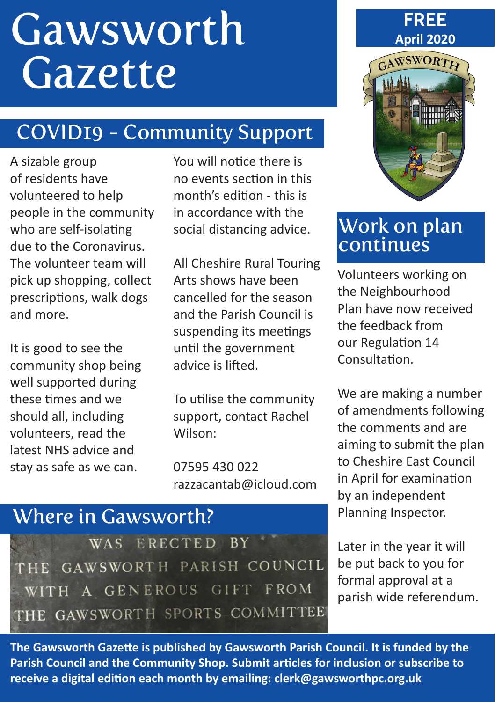# **Gawsworth** Gazette

# COVID19 - Community Support

A sizable group of residents have volunteered to help people in the community who are self-isolating due to the Coronavirus. The volunteer team will pick up shopping, collect prescriptions, walk dogs and more.

It is good to see the community shop being well supported during these times and we should all, including volunteers, read the latest NHS advice and stay as safe as we can.

You will notice there is no events section in this month's edition - this is in accordance with the social distancing advice.

All Cheshire Rural Touring Arts shows have been cancelled for the season and the Parish Council is suspending its meetings until the government advice is lifted.

To utilise the community support, contact Rachel Wilson:

07595 430 022 razzacantab@icloud.com

# Where in Gawsworth?

WAS ERECTED BY THE GAWSWORTH PARISH COUNCIL WITH A GENEROUS GIFT FROM THE GAWSWORTH SPORTS COMMITTEE

**FREE April 2020**



#### Work on plan continues

Volunteers working on the Neighbourhood Plan have now received the feedback from our Regulation 14 Consultation.

We are making a number of amendments following the comments and are aiming to submit the plan to Cheshire East Council in April for examination by an independent Planning Inspector.

Later in the year it will be put back to you for formal approval at a parish wide referendum.

**The Gawsworth Gazette is published by Gawsworth Parish Council. It is funded by the Parish Council and the Community Shop. Submit articles for inclusion or subscribe to receive a digital edition each month by emailing: clerk@gawsworthpc.org.uk**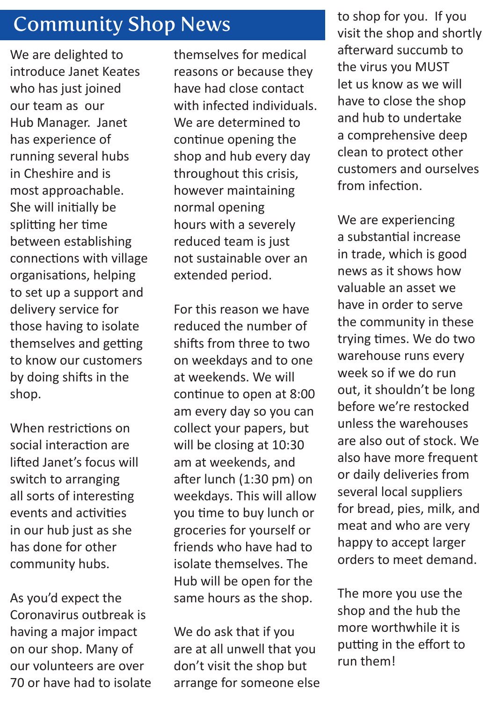# Community Shop News

We are delighted to introduce Janet Keates who has just joined our team as our Hub Manager. Janet has experience of running several hubs in Cheshire and is most approachable. She will initially be splitting her time between establishing connections with village organisations, helping to set up a support and delivery service for those having to isolate themselves and getting to know our customers by doing shifts in the shop.

When restrictions on social interaction are lifted Janet's focus will switch to arranging all sorts of interesting events and activities in our hub just as she has done for other community hubs.

As you'd expect the Coronavirus outbreak is having a major impact on our shop. Many of our volunteers are over 70 or have had to isolate themselves for medical reasons or because they have had close contact with infected individuals. We are determined to continue opening the shop and hub every day throughout this crisis, however maintaining normal opening hours with a severely reduced team is just not sustainable over an extended period.

For this reason we have reduced the number of shifts from three to two on weekdays and to one at weekends. We will continue to open at 8:00 am every day so you can collect your papers, but will be closing at 10:30 am at weekends, and after lunch (1:30 pm) on weekdays. This will allow you time to buy lunch or groceries for yourself or friends who have had to isolate themselves. The Hub will be open for the same hours as the shop.

We do ask that if you are at all unwell that you don't visit the shop but arrange for someone else

to shop for you. If you visit the shop and shortly afterward succumb to the virus you MUST let us know as we will have to close the shop and hub to undertake a comprehensive deep clean to protect other customers and ourselves from infection.

We are experiencing a substantial increase in trade, which is good news as it shows how valuable an asset we have in order to serve the community in these trying times. We do two warehouse runs every week so if we do run out, it shouldn't be long before we're restocked unless the warehouses are also out of stock. We also have more frequent or daily deliveries from several local suppliers for bread, pies, milk, and meat and who are very happy to accept larger orders to meet demand.

The more you use the shop and the hub the more worthwhile it is putting in the effort to run them!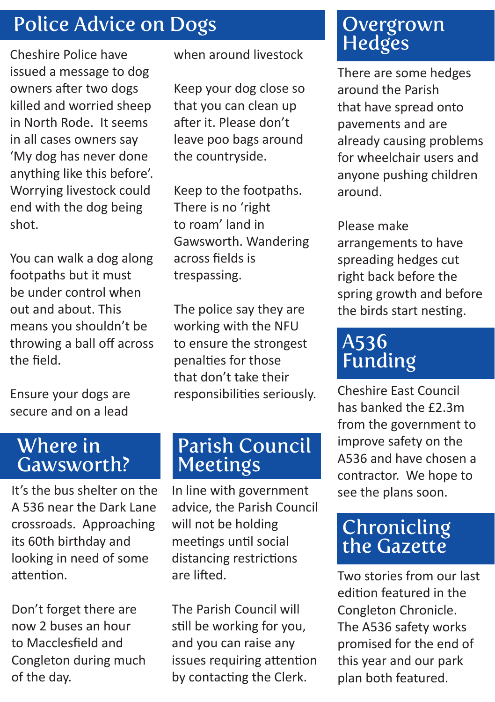# Police Advice on Dogs

Cheshire Police have issued a message to dog owners after two dogs killed and worried sheep in North Rode. It seems in all cases owners say 'My dog has never done anything like this before'. Worrying livestock could end with the dog being shot.

You can walk a dog along footpaths but it must be under control when out and about. This means you shouldn't be throwing a ball off across the field.

Ensure your dogs are secure and on a lead

when around livestock

Keep your dog close so that you can clean up after it. Please don't leave poo bags around the countryside.

Keep to the footpaths. There is no 'right to roam' land in Gawsworth. Wandering across fields is trespassing.

The police say they are working with the NFU to ensure the strongest penalties for those that don't take their responsibilities seriously.

#### Where in Gawsworth?

It's the bus shelter on the A 536 near the Dark Lane crossroads. Approaching its 60th birthday and looking in need of some attention.

Don't forget there are now 2 buses an hour to Macclesfield and Congleton during much of the day.

#### Parish Council Meetings

In line with government advice, the Parish Council will not be holding meetings until social distancing restrictions are lifted.

The Parish Council will still be working for you, and you can raise any issues requiring attention by contacting the Clerk.

## Overgrown **Hedges**

There are some hedges around the Parish that have spread onto pavements and are already causing problems for wheelchair users and anyone pushing children around.

Please make

arrangements to have spreading hedges cut right back before the spring growth and before the birds start nesting.

# A536 Funding

Cheshire East Council has banked the £2.3m from the government to improve safety on the A536 and have chosen a contractor. We hope to see the plans soon.

# **Chronicling** the Gazette

Two stories from our last edition featured in the Congleton Chronicle. The A536 safety works promised for the end of this year and our park plan both featured.